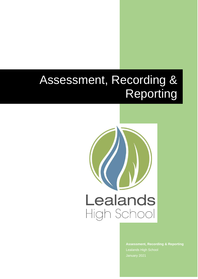# Assessment, Recording & Reporting



**Assessment, Recording & Reporting**  Lealands High School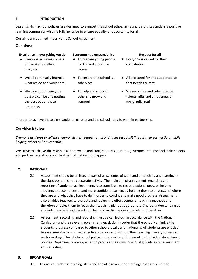# **1. INTRODUCTION**

Lealands High School policies are designed to support the school ethos, aims and vision. Lealands is a positive learning community which is fully inclusive to ensure equality of opportunity for all.

Our aims are outlined in our Home School Agreement.

# **Our aims:**

# **Excellence in everything we do Everyone has responsibility Respect for all**

- Everyone achieves success and makes excellent progress
- We all continually improve what we do and work hard
- We care about being the best we can be and getting the best out of those around us

- To prepare young people for life and a positive future
- To ensure that school is a safe place
- To help and support others to grow and succeed
- 
- Everyone is valued for their contribution
- All are cared for and supported so that needs are met
- We recognise and celebrate the talents, gifts and uniqueness of every individual

In order to achieve these aims students, parents and the school need to work in partnership.

#### **Our vision is to be:**

# *Everyone achieves excellence, demonstrates respect for all and takes responsibility for their own actions, while helping others to be successful.*

We strive to achieve this vision in all that we do and staff, students, parents, governors, other school stakeholders and partners are all an important part of making this happen.

#### **2. RATIONALE**

- 2.1 Assessment should be an integral part of all schemes of work and of teaching and learning in the classroom. It is not a separate activity. The main aim of assessment, recording and reporting of students' achievements is to contribute to the educational process, helping students to become better and more confident learners by helping them to understand where they are and what they have to do in order to continue to make good progress. Assessment also enables teachers to evaluate and review the effectiveness of teaching methods and therefore enables them to focus their teaching plans as appropriate. Shared understanding by students, teachers and parents of clear and explicit learning targets is imperative.
- 2.2 Assessment, recording and reporting must be carried out in accordance with the National Curriculum and the relevant government legislation in order that the school can judge the students' progress compared to other schools locally and nationally. All students are entitled to assessment which is used effectively to plan and support their learning in every subject at each key stage. The whole school policy is intended as a framework for individual department policies. Departments are expected to produce their own individual guidelines on assessment and recording.

#### **3. BROAD GOALS**

3.1 To ensure students' learning, skills and knowledge are measured against agreed criteria.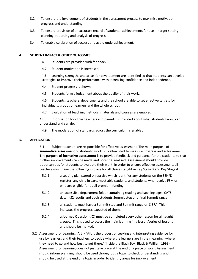- 3.2 To ensure the involvement of students in the assessment process to maximise motivation, progress and understanding.
- 3.3 To ensure provision of an accurate record of students' achievements for use in target setting, planning, reporting and analysis of progress.
- 3.4 To enable celebration of success and avoid underachievement.

#### **4. STUDENT IMPACT & OTHER OUTCOMES**

- 4.1 Students are provided with feedback.
- 4.2 Student motivation is increased.

4.3 Learning strengths and areas for development are identified so that students can develop strategies to improve their performance with increasing confidence and independence.

- 4.4 Student progress is shown.
- 4.5 Students form a judgement about the quality of their work.

4.6 Students, teachers, departments and the school are able to set effective targets for individuals, groups of learners and the whole school.

4.7 Evaluation of teaching methods, materials and courses are enabled.

4.8 Information for other teachers and parents is provided about what students know, can understand and can do.

4.9 The moderation of standards across the curriculum is enabled.

# **5. APPLICATION**

5.1 Subject teachers are responsible for effective assessment. The main purpose of **summative assessment** of students' work is to allow staff to measure progress and achievement. The purpose of **formative assessment** is to provide feedback and guidance for the students so that further improvements can be made and potential realised. Assessment should provide opportunities for students to evaluate their work. In order to ensure effective assessment, all teachers must have the following in place for all classes taught in Key Stage 3 and Key Stage 4:

- 5.1.1. a seating plan stored on epraise which identifies any students on the SEN/D register, any child in care, most able students and students who receive FSM or who are eligible for pupil premium funding.
- 5.1.2 an accessible department folder containing reading and spelling ages, CATS data, KS2 results and each students Summit step and final Summit range.
- 5.1.3 all students must have a Summit step and Summit range on SISRA. This indicates the progress expected of them.
- 5.1.4 a Journey Question (JQ) must be completed every other lesson for all taught groups. This is used to access the main learning in a lesson/series of lessons and should be marked.
- 5.2 Assessment for Learning (AfL) **-** 'AfL is the process of seeking and interpreting evidence for use by learners and their teachers to decide where the learners are in their learning, where they need to go and how best to get there.' (Inside the Black Box, Black & William 1998) Assessment for Learning does not just take place at the end of a piece of work. Assessment should inform planning, should be used throughout a topic to check understanding and should be used at the end of a topic in order to identify areas for improvement.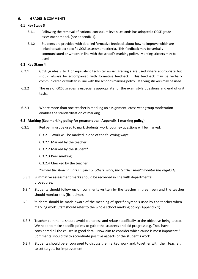#### **6. GRADES & COMMENTS**

#### **6.1 Key Stage 3**

- 6.1.1 Following the removal of national curriculum levels Lealands has adopted a GCSE grade assessment model. (see appendix 1).
- 6.1.2 Students are provided with detailed formative feedback about how to improve which are linked to subject specific GCSE assessment criteria. This feedback may be verbally communicated or written in line with the school's marking policy. Marking stickers may be used.

# **6.2 Key Stage 4**

- 6.2.1 GCSE grades 9 to 1 or equivalent technical award grading's are used where appropriate but should always be accompanied with formative feedback. This feedback may be verbally communicated or written in line with the school's marking policy. Marking stickers may be used.
- 6.2.2 The use of GCSE grades is especially appropriate for the exam style questions and end of unit tests.
- 6.2.3 Where more than one teacher is marking an assignment, cross year group moderation enables the standardisation of marking.

# **6.3 Marking (See marking policy for greater detail Appendix 1 marking policy)**

- 6.3.1 Red pen must be used to mark students' work. Journey questions will be marked.
	- 6.3.2 Work will be marked in one of the following ways:
	- 6.3.2.1 Marked by the teacher.
	- 6.3.2.2 Marked by the student\*.
	- 6.3.2.3 Peer marking.
	- 6.3.2.4 Checked by the teacher.

\**Where the student marks his/her or others' work, the teacher should monitor this regularly.*

- 6.3.3 Summative assessment marks should be recorded in line with departmental procedures.
- 6.3.4 Students should follow up on comments written by the teacher in green pen and the teacher should monitor this (fix it time).
- 6.3.5 Students should be made aware of the meaning of specific symbols used by the teacher when marking work. Staff should refer to the whole school marking policy (Appendix 1)
- 6.3.6 Teacher comments should avoid blandness and relate specifically to the objective being tested. We need to make specific points to guide the students and aid progress e.g. "You have considered all the causes in good detail. Now aim to consider which cause is most important." Comments should try to accentuate positive aspects of the student's work.
- 6.3.7 Students should be encouraged to discuss the marked work and, together with their teacher, to set targets for improvement.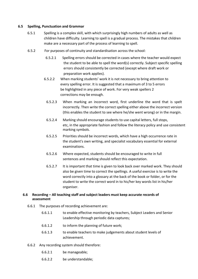## **6.5 Spelling, Punctuation and Grammar**

- 6.5.1 Spelling is a complex skill, with which surprisingly high numbers of adults as well as children have difficulty. Learning to spell is a gradual process. The mistakes that children make are a necessary part of the process of learning to spell.
- 6.5.2 For purposes of continuity and standardisation across the school:
	- 6.5.2.1 Spelling errors should be corrected in cases where the teacher would expect the student to be able to spell the word(s) correctly. Subject specific spelling errors should consistently be corrected (except where draft work or preparation work applies).
	- 6.5.2.2 When marking students' work it is not necessary to bring attention to every spelling error. It is suggested that a maximum of 3 to 5 errors be highlighted in any piece of work. For very weak spellers 2 corrections may be enough.
		- 6.5.2.3 When marking an incorrect word, first underline the word that is spelt incorrectly. Then write the correct spelling either above the incorrect version (this enables the student to see where he/she went wrong) or in the margin.
		- 6.5.2.4 Marking should encourage students to use capital letters, full stops, etc, in the appropriate fashion and follow the literacy policy and use consistent marking symbols.
		- 6.5.2.5 Priorities should be incorrect words, which have a high occurrence rate in the student's own writing, and specialist vocabulary essential for external examinations.
		- 6.5.2.6 Where expected, students should be encouraged to write in full sentences and marking should reflect this expectation.
		- 6.5.2.7 It is important that time is given to look back over marked work. They should also be given time to correct the spellings. A useful exercise is to write the word correctly into a glossary at the back of the book or folder, or for the student to write the correct word in to his/her key words list in his/her organiser.

# **6.6 Recording – All teaching staff and subject leaders must keep accurate records of assessment**

- 6.6.1 The purposes of recording achievement are:
	- 6.6.1.1 to enable effective monitoring by teachers, Subject Leaders and Senior Leadership through periodic data captures;
	- 6.6.1.2 to inform the planning of future work;
	- 6.6.1.3 to enable teachers to make judgements about student levels of achievement.
- 6.6.2 Any recording system should therefore:
	- 6.6.2.1 be manageable;
	- 6.6.2.2 be understandable;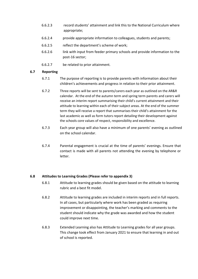- 6.6.2.3 record students' attainment and link this to the National Curriculum where appropriate;
- 6.6.2.4 provide appropriate information to colleagues, students and parents;
- 6.6.2.5 reflect the department's scheme of work;
- 6.6.2.6 link with input from feeder primary schools and provide information to the post-16 sector;
- 6.6.2.7 be related to prior attainment.

# **6.7 Reporting**

- 6.7.1 The purpose of reporting is to provide parents with information about their children's achievements and progress in relation to their prior attainment.
- 6.7.2 Three reports will be sent to parents/carers each year as outlined on the AR&R calendar. At the end of the autumn term and spring term parents and carers will receive an interim report summarising their child's current attainment and their attitude to learning within each of their subject areas. At the end of the summer term they will receive a report that summarises their child's attainment for the last academic as well as form tutors report detailing their development against the schools core values of respect, responsibility and excellence.
- 6.7.3 Each year group will also have a minimum of one parents' evening as outlined on the school calendar.
- 6.7.4 Parental engagement is crucial at the time of parents' evenings. Ensure that contact is made with all parents not attending the evening by telephone or letter.

# **6.8 Attitudes to Learning Grades (Please refer to appendix 3)**

- 6.8.1 Attitude to learning grades should be given based on the attitude to learning rubric and a best fit model.
- 6.8.2 Attitude to learning grades are included in interim reports and in full reports. In all cases, but particularly where work has been graded as requiring improvement or disappointing, the teacher's marking and comments to the student should indicate why the grade was awarded and how the student could improve next time.
- 6.8.3 Extended Learning also has Attitude to Learning grades for all year groups. This change took effect from January 2021 to ensure that learning in and out of school is reported.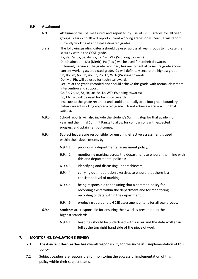# **6.9 Attainment**

- 6.9.1 Attainment will be measured and reported by use of GCSE grades for all year groups. Years 7 to 10 will report current working grades only. Year 11 will report currently working at and final estimated grades. 6.9.2 The following grading criteria should be used across all year groups to indicate the security within the GCSE grade. 9a, 8a, 7a, 6a, 5a, 4a, 3a, 2a, 1a, WTa (Working towards) Da (Distinction), Ma (Merit), Pa (Pass) will be used for technical awards. Extremely secure at the grade recorded, has real potential to secure grade above current working at/predicted grade. 9a will definitely secure the highest grade. 9b, 8b, 7b, 6b, 5b, 4b, 3b, 2b, 1b, WTb (Working towards) Db, Mb, Pb, will be used for technical awards Secure at the grade recorded and should achieve this grade with normal classroom intervention and support. 9c, 8c, 7c, 6c, 5c, 4c, 3c, 2c, 1c, WTc (Working towards) Dc, Mc, Pc, will be used for technical awards Insecure at the grade recorded and could potentially drop into grade boundary below current working at/predicted grade. Or not achieve a grade within that subject. 6.9.3 School reports will also include the student's Summit Step for that academic year and their final Summit Range to allow for comparisons with expected progress and attainment outcomes. 6.9.4 **Subject leaders** are responsible for ensuring effective assessment is used within their departments by: 6.9.4.1 producing a departmental assessment policy; 6.9.4.2 monitoring marking across the department to ensure it is in line with this and departmental policies; 6.9.4.3 identifying and discussing underachievers; 6.9.4.4 carrying out moderation exercises to ensure that there is a consistent level of marking; 6.9.4.5 being responsible for ensuring that a common policy for recording exists within the department and for monitoring recording of data within the department. 6.9.4.6 producing appropriate GCSE assessment criteria for all year groups. 6.9.4 **Students** are responsible for ensuring their work is presented to the
	- 6.9.4.1 headings should be underlined with a ruler and the date written in full at the top right hand side of the piece of work

# **7. MONITORING, EVALUATION & REVIEW**

highest standard:

- 7.1 **The Assistant Headteacher** has overall responsibility for the successful implementation of this policy.
- 7.2 Subject Leaders are responsible for monitoring the successful implementation of this policy within their subject teams.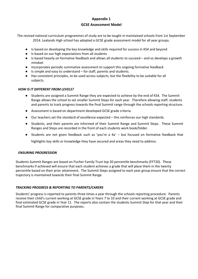# **Appendix 1 GCSE Assessment Model**

The revised national curriculum programmes of study are to be taught in maintained schools from 1st September 2014. Lealands High school has adopted a GCSE grade assessment model for all year groups.

- Is based on developing the key knowledge and skills required for success in KS4 and beyond
- Is based on our high expectations from all students
- Is based heavily on formative feedback and allows all students to succeed and so develops a growth mindset
- Incorporates periodic summative assessment to support this ongoing formative feedback
- Is simple and easy to understand  $-$  for staff, parents and students.
- Has consistent principles, to be used across subjects, but the flexibility to be suitable for all subjects.

#### *HOW IS IT DIFFERENT FROM LEVELS?*

- Students are assigned a Summit Range they are expected to achieve by the end of KS4. The Summit Range allows the school to set smaller Summit Steps for each year. Therefore allowing staff, students and parents to track progress towards the final Summit range through the schools reporting structure.
- Assessment is based on department developed GCSE grade criteria.
- Our teachers set the standard of excellence expected this reinforces our high standards.
- Students, and their parents are informed of their Summit Range and Summit Steps. These Summit Ranges and Steps are recorded in the front of each students work book/folder.
- Students are not given feedback such as 'you're a  $4a' -$  but focused on formative feedback that

highlights key skills or knowledge they have secured and areas they need to address.

# *ENSURING PROGRESSION*

Students Summit Ranges are based on Fischer Family Trust top 20 percentile benchmarks (FFT20). These benchmarks if achieved will ensure that each student achieves a grade that will place them in the twenty percentile based on their prior attainment. The Summit Steps assigned to each year group ensure that the correct trajectory is maintained towards their final Summit Range.

# *TRACKING PROGRESS & REPORTING TO PARENTS/CARERS*

Students' progress is reported to parents three times a year through the schools reporting procedure. Parents receive their child's current working at GCSE grade in Years 7 to 10 and their current working at GCSE grade and final estimated GCSE grade in Year 11. The reports also contain the students Summit Step for that year and their final Summit Range for comparative purposes.